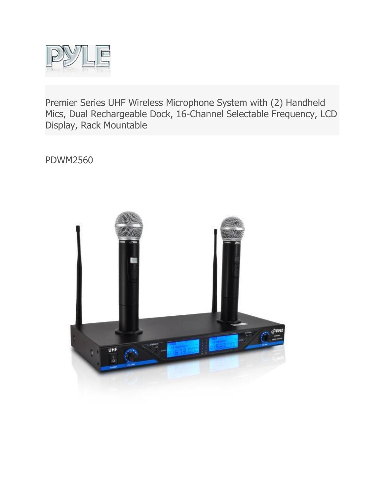

Premier Series UHF Wireless Microphone System with (2) Handheld Mics, Dual Rechargeable Dock, 16-Channel Selectable Frequency, LCD Display, Rack Mountable

PDWM2560

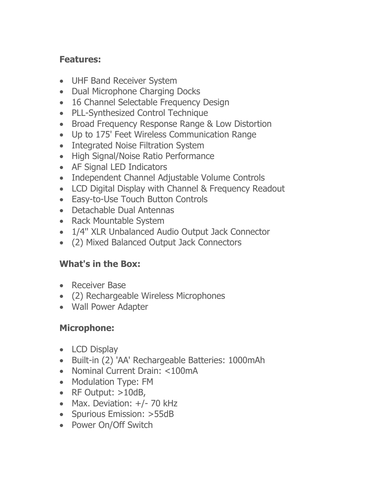## **Features:**

- UHF Band Receiver System
- Dual Microphone Charging Docks
- 16 Channel Selectable Frequency Design
- PLL-Synthesized Control Technique
- Broad Frequency Response Range & Low Distortion
- Up to 175' Feet Wireless Communication Range
- Integrated Noise Filtration System
- High Signal/Noise Ratio Performance
- AF Signal LED Indicators
- Independent Channel Adjustable Volume Controls
- LCD Digital Display with Channel & Frequency Readout
- Easy-to-Use Touch Button Controls
- Detachable Dual Antennas
- Rack Mountable System
- 1/4" XLR Unbalanced Audio Output Jack Connector
- (2) Mixed Balanced Output Jack Connectors

## **What's in the Box:**

- Receiver Base
- (2) Rechargeable Wireless Microphones
- Wall Power Adapter

## **Microphone:**

- LCD Display
- Built-in (2) 'AA' Rechargeable Batteries: 1000mAh
- Nominal Current Drain: <100mA
- Modulation Type: FM
- RF Output:  $>10dB$ ,
- Max. Deviation: +/- 70 kHz
- Spurious Emission: >55dB
- Power On/Off Switch